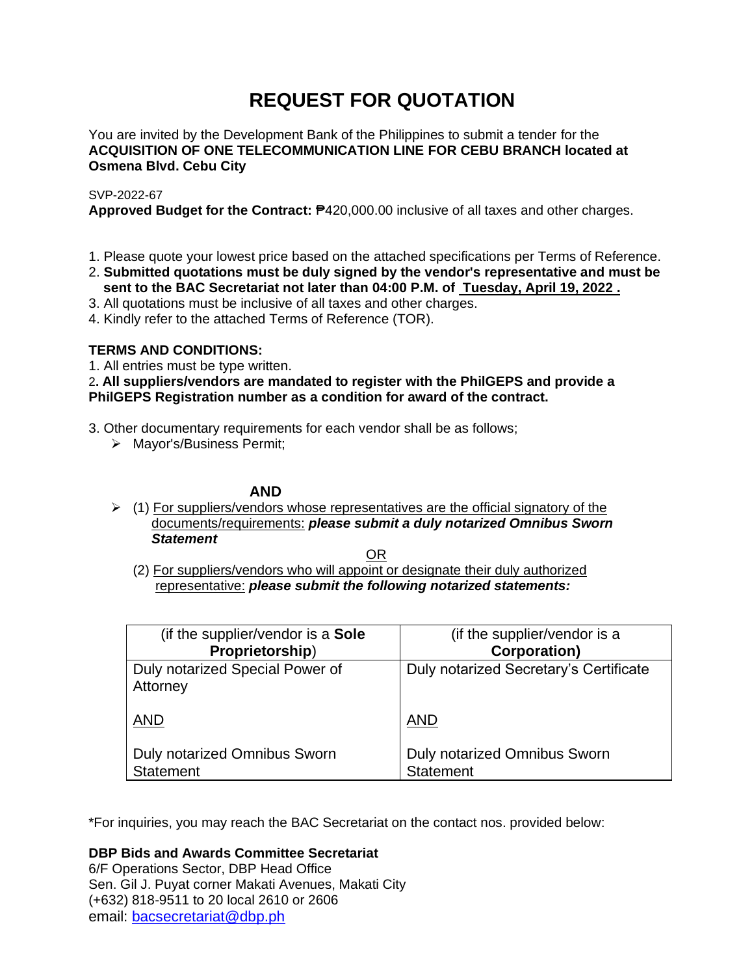# **REQUEST FOR QUOTATION**

You are invited by the Development Bank of the Philippines to submit a tender for the **ACQUISITION OF ONE TELECOMMUNICATION LINE FOR CEBU BRANCH located at Osmena Blvd. Cebu City**

### SVP-2022-67

**Approved Budget for the Contract:** ₱420,000.00 inclusive of all taxes and other charges.

- 1. Please quote your lowest price based on the attached specifications per Terms of Reference.
- 2. **Submitted quotations must be duly signed by the vendor's representative and must be sent to the BAC Secretariat not later than 04:00 P.M. of Tuesday, April 19, 2022 .**
- 3. All quotations must be inclusive of all taxes and other charges.
- 4. Kindly refer to the attached Terms of Reference (TOR).

# **TERMS AND CONDITIONS:**

1. All entries must be type written.

# 2**. All suppliers/vendors are mandated to register with the PhilGEPS and provide a PhilGEPS Registration number as a condition for award of the contract.**

- 3. Other documentary requirements for each vendor shall be as follows;
	- ➢ Mayor's/Business Permit;

# **AND**

 $\geq$  (1) For suppliers/vendors whose representatives are the official signatory of the documents/requirements: *please submit a duly notarized Omnibus Sworn Statement*

<u>OR Starting and the Starting OR Starting</u>

(2) For suppliers/vendors who will appoint or designate their duly authorized representative: *please submit the following notarized statements:*

| (if the supplier/vendor is a Sole                       | (if the supplier/vendor is a                     |
|---------------------------------------------------------|--------------------------------------------------|
| Proprietorship)                                         | <b>Corporation)</b>                              |
| Duly notarized Special Power of<br>Attorney             | Duly notarized Secretary's Certificate           |
| <b>AND</b>                                              | <b>AND</b>                                       |
| <b>Duly notarized Omnibus Sworn</b><br><b>Statement</b> | Duly notarized Omnibus Sworn<br><b>Statement</b> |

\*For inquiries, you may reach the BAC Secretariat on the contact nos. provided below:

**DBP Bids and Awards Committee Secretariat**  6/F Operations Sector, DBP Head Office

Sen. Gil J. Puyat corner Makati Avenues, Makati City (+632) 818-9511 to 20 local 2610 or 2606 email: [bacsecretariat@dbp.ph](mailto:bacsecretariat@dbp.ph)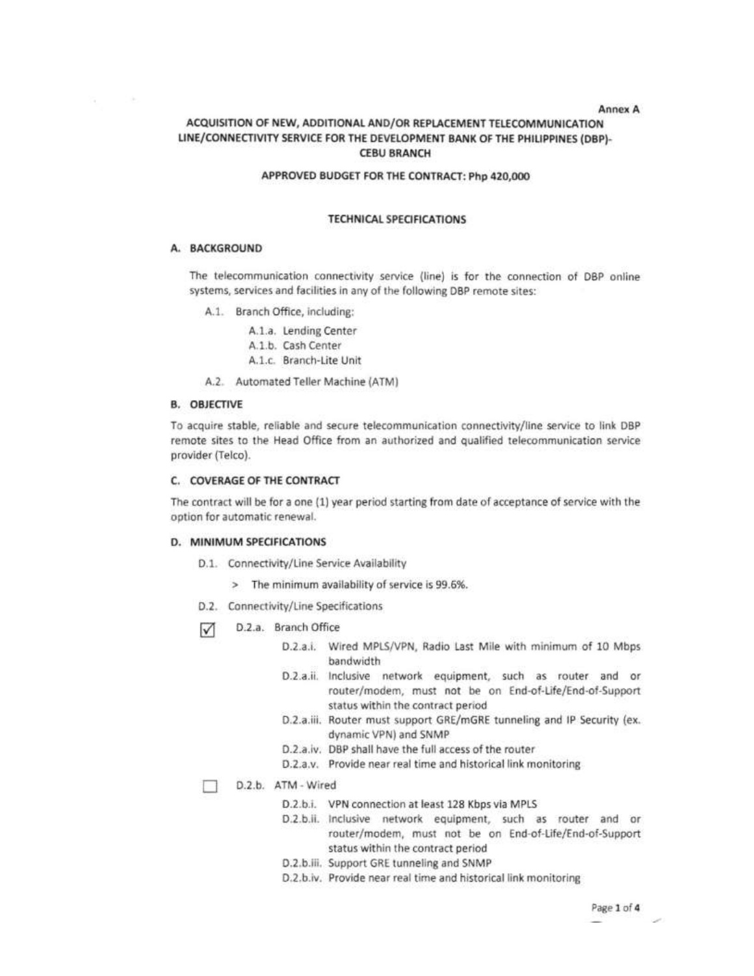Annex A

# ACQUISITION OF NEW, ADDITIONAL AND/OR REPLACEMENT TELECOMMUNICATION LINE/CONNECTIVITY SERVICE FOR THE DEVELOPMENT BANK OF THE PHILIPPINES (DBP)-**CEBU BRANCH**

### APPROVED BUDGET FOR THE CONTRACT: Php 420,000

### **TECHNICAL SPECIFICATIONS**

#### A. BACKGROUND

The telecommunication connectivity service (line) is for the connection of DBP online systems, services and facilities in any of the following DBP remote sites:

- A.1. Branch Office, including:
	- A.1.a. Lending Center
	- A.1.b. Cash Center
	- A.1.c. Branch-Lite Unit
- A.2. Automated Teller Machine (ATM)

#### **B. OBJECTIVE**

To acquire stable, reliable and secure telecommunication connectivity/line service to link DBP remote sites to the Head Office from an authorized and qualified telecommunication service provider (Telco).

#### C. COVERAGE OF THE CONTRACT

The contract will be for a one (1) year period starting from date of acceptance of service with the option for automatic renewal.

#### D. MINIMUM SPECIFICATIONS

- D.1. Connectivity/Line Service Availability
	- > The minimum availability of service is 99.6%.
- D.2. Connectivity/Line Specifications
- ☑ D.2.a. Branch Office
	- D.2.a.i. Wired MPLS/VPN, Radio Last Mile with minimum of 10 Mbps bandwidth
	- D.2.a.ii. Inclusive network equipment, such as router and or router/modem, must not be on End-of-Life/End-of-Support status within the contract period
	- D.2.a.iii. Router must support GRE/mGRE tunneling and IP Security (ex. dynamic VPN) and SNMP
	- D.2.a.iv. DBP shall have the full access of the router
	- D.2.a.v. Provide near real time and historical link monitoring

D.2.b. ATM - Wired

□

- D.2.b.i. VPN connection at least 128 Kbps via MPLS
- D.2.b.ii. Inclusive network equipment, such as router and or router/modem, must not be on End-of-Life/End-of-Support status within the contract period
- D.2.b.iii. Support GRE tunneling and SNMP
- D.2.b.iv. Provide near real time and historical link monitoring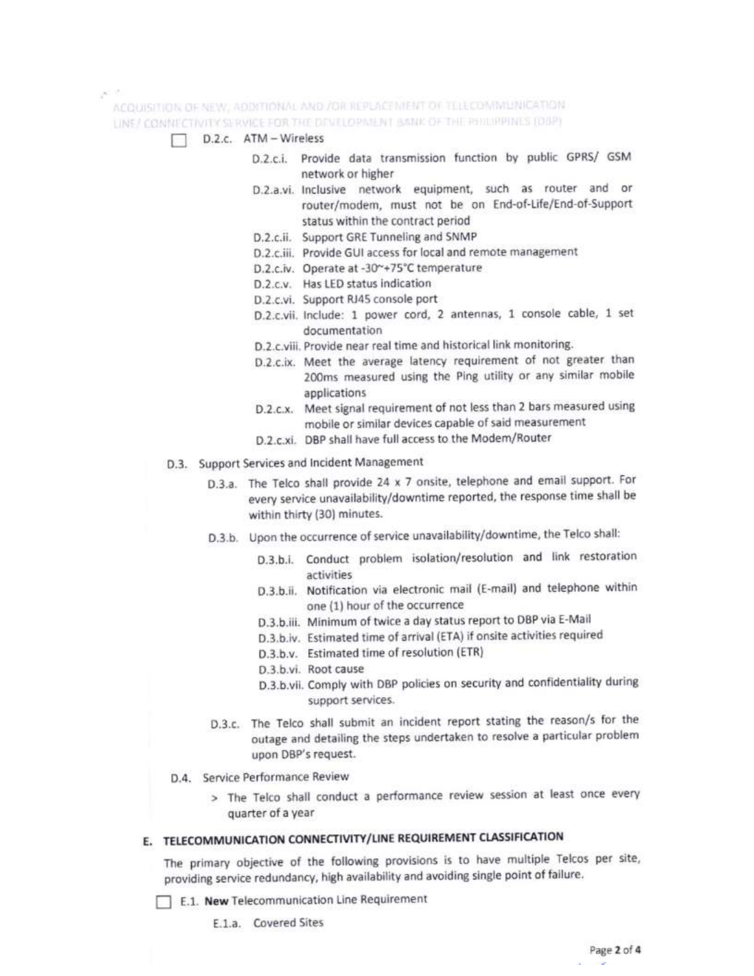gener.

ACQUISITION OF NEW, ADDITIONAL AND /OR REPLACEMENT OF TELECOMMUNICATION. LINE/ CONNECTIVITY SERVICE FOR THE DEVELOPMENT BANK OF THE RHILIPPINES (DBP)

- D.2.c. ATM Wireless
	- D.2.c.i. Provide data transmission function by public GPRS/ GSM network or higher
	- D.2.a.vi. Inclusive network equipment, such as router and or router/modem, must not be on End-of-Life/End-of-Support status within the contract period
	- D.2.c.ii. Support GRE Tunneling and SNMP
	- D.2.c.iii. Provide GUI access for local and remote management
	- D.2.c.iv. Operate at -30~+75°C temperature
	- D.2.c.v. Has LED status indication
	- D.2.c.vi. Support RJ45 console port
	- D.2.c.vii. include: 1 power cord, 2 antennas, 1 console cable, 1 set documentation
	- D.2.c.viii. Provide near real time and historical link monitoring.
	- D.2.c.ix. Meet the average latency requirement of not greater than 200ms measured using the Ping utility or any similar mobile applications
	- D.2.c.x. Meet signal requirement of not less than 2 bars measured using mobile or similar devices capable of said measurement
	- D.2.c.xi. DBP shall have full access to the Modem/Router
- D.3. Support Services and Incident Management
	- D.3.a. The Telco shall provide 24 x 7 onsite, telephone and email support. For every service unavailability/downtime reported, the response time shall be within thirty (30) minutes.
	- D.3.b. Upon the occurrence of service unavailability/downtime, the Telco shall:
		- D.3.b.i. Conduct problem isolation/resolution and link restoration activities
		- D.3.b.ii. Notification via electronic mail (E-mail) and telephone within one (1) hour of the occurrence
		- D.3.b.iii. Minimum of twice a day status report to DBP via E-Mail
		- D.3.b.iv. Estimated time of arrival (ETA) if onsite activities required
		- D.3.b.v. Estimated time of resolution (ETR)
		- D.3.b.vi. Root cause
		- D.3.b.vii. Comply with DBP policies on security and confidentiality during support services.
	- D.3.c. The Telco shall submit an incident report stating the reason/s for the outage and detailing the steps undertaken to resolve a particular problem upon DBP's request.
- D.4. Service Performance Review
	- > The Telco shall conduct a performance review session at least once every quarter of a year

# E. TELECOMMUNICATION CONNECTIVITY/LINE REQUIREMENT CLASSIFICATION

The primary objective of the following provisions is to have multiple Telcos per site, providing service redundancy, high availability and avoiding single point of failure.

E.1. New Telecommunication Line Requirement

E.1.a. Covered Sites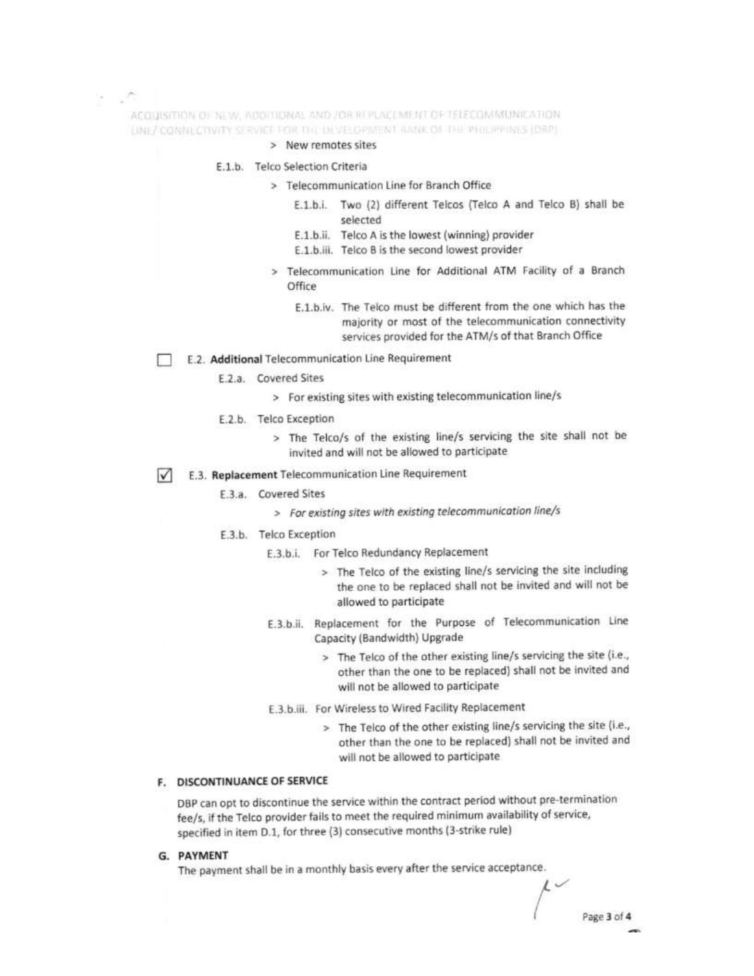ACQUISITION OF NEW, NOOTHINGE AND / OR REPLACEMENT OF TELECOMMUNICATION. LINE/ CONNECTIVITY SERVICE POR THE DEVELOPMENT AMAK OF THE PHILIPPINES (DBP).

- > New remotes sites
- E.1.b. Telco Selection Criteria
	- > Telecommunication Line for Branch Office
		- E.1.b.i. Two (2) different Telcos (Telco A and Telco B) shall be selected
		- E.1.b.ii. Telco A is the lowest (winning) provider
		- E.1.b.iii. Telco B is the second lowest provider
	- > Telecommunication Line for Additional ATM Facility of a Branch Office
		- E.1.b.iv. The Telco must be different from the one which has the majority or most of the telecommunication connectivity services provided for the ATM/s of that Branch Office
- E.2. Additional Telecommunication Line Requirement
	- E.2.a. Covered Sites
		- > For existing sites with existing telecommunication line/s
	- E.2.b. Telco Exception
		- > The Telco/s of the existing line/s servicing the site shall not be invited and will not be allowed to participate
- E.3. Replacement Telecommunication Line Requirement  $\sqrt{}$ 
	- E.3.a. Covered Sites
		- > For existing sites with existing telecommunication line/s
	- E.3.b. Telco Exception
		- E.3.b.i. For Telco Redundancy Replacement
			- > The Telco of the existing line/s servicing the site including the one to be replaced shall not be invited and will not be allowed to participate
		- E.3.b.ii. Replacement for the Purpose of Telecommunication Line Capacity (Bandwidth) Upgrade
			- > The Telco of the other existing line/s servicing the site (i.e., other than the one to be replaced) shall not be invited and will not be allowed to participate
		- E.3.b.iii. For Wireless to Wired Facility Replacement
			- > The Telco of the other existing line/s servicing the site (i.e., other than the one to be replaced) shall not be invited and will not be allowed to participate

### F. DISCONTINUANCE OF SERVICE

DBP can opt to discontinue the service within the contract period without pre-termination fee/s, if the Telco provider fails to meet the required minimum availability of service, specified in item D.1, for three (3) consecutive months (3-strike rule)

G. PAYMENT

The payment shall be in a monthly basis every after the service acceptance.

 $\iota$ Page 3 of 4